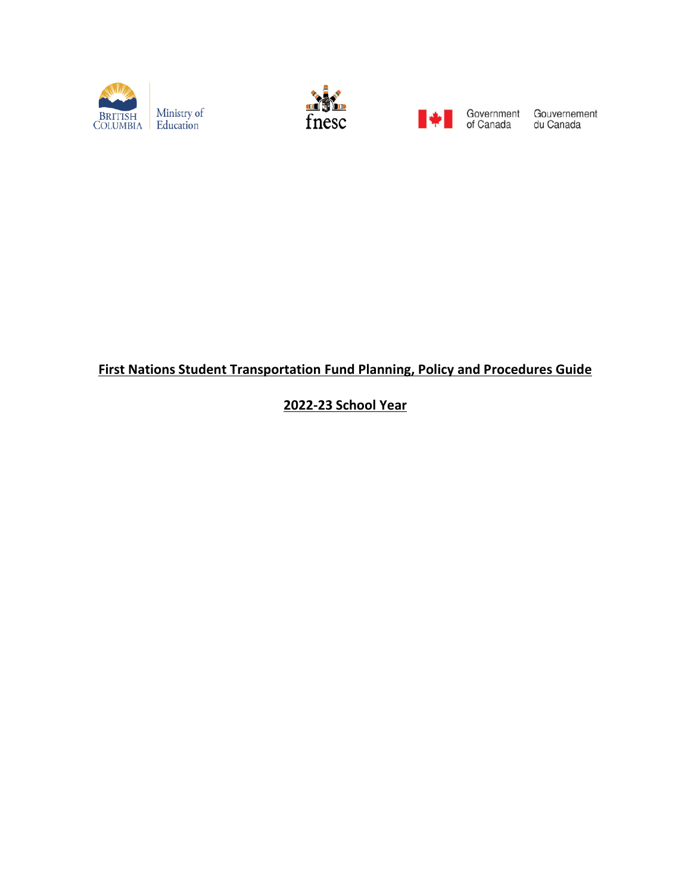





Government Gouvernement<br>of Canada du Canada

# **First Nations Student Transportation Fund Planning, Policy and Procedures Guide**

**2022-23 School Year**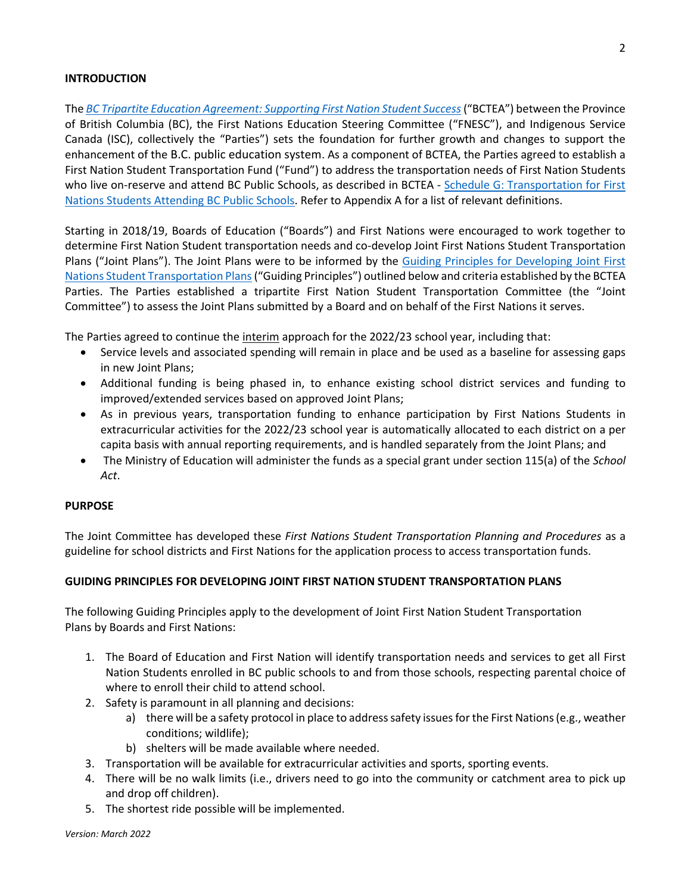### **INTRODUCTION**

The *[BC Tripartite Education Agreement: Supporting First Nation Student Success](http://www.fnesc.ca/wp/wp-content/uploads/2018/08/AGREEMENT-BCTEA-2018-FINAL-Signed-with-Schedules-WEB-VERSION-2018-08-1.pdf)*("BCTEA") between the Province of British Columbia (BC), the First Nations Education Steering Committee ("FNESC"), and Indigenous Service Canada (ISC), collectively the "Parties") sets the foundation for further growth and changes to support the enhancement of the B.C. public education system. As a component of BCTEA, the Parties agreed to establish a First Nation Student Transportation Fund ("Fund") to address the transportation needs of First Nation Students who live on-reserve and attend BC Public Schools, as described in BCTEA - [Schedule G: Transportation for First](http://www.fnesc.ca/wp/wp-content/uploads/2019/03/Schedule-G-Transportation-June-28-2018-FINAL.pdf)  [Nations Students Attending BC Public Schools.](http://www.fnesc.ca/wp/wp-content/uploads/2019/03/Schedule-G-Transportation-June-28-2018-FINAL.pdf) Refer to Appendix A for a list of relevant definitions.

Starting in 2018/19, Boards of Education ("Boards") and First Nations were encouraged to work together to determine First Nation Student transportation needs and co-develop Joint First Nations Student Transportation Plans ("Joint Plans"). The Joint Plans were to be informed by the Guiding Principles [for Developing Joint First](http://www.fnesc.ca/bctea/transportation-public-schools/)  [Nations Student Transportation Plans](http://www.fnesc.ca/bctea/transportation-public-schools/)("Guiding Principles") outlined below and criteria established by the BCTEA Parties. The Parties established a tripartite First Nation Student Transportation Committee (the "Joint Committee") to assess the Joint Plans submitted by a Board and on behalf of the First Nations it serves.

The Parties agreed to continue the interim approach for the 2022/23 school year, including that:

- Service levels and associated spending will remain in place and be used as a baseline for assessing gaps in new Joint Plans;
- Additional funding is being phased in, to enhance existing school district services and funding to improved/extended services based on approved Joint Plans;
- As in previous years, transportation funding to enhance participation by First Nations Students in extracurricular activities for the 2022/23 school year is automatically allocated to each district on a per capita basis with annual reporting requirements, and is handled separately from the Joint Plans; and
- The Ministry of Education will administer the funds as a special grant under section 115(a) of the *School Act*.

#### **PURPOSE**

The Joint Committee has developed these *First Nations Student Transportation Planning and Procedures* as a guideline for school districts and First Nations for the application process to access transportation funds.

# **GUIDING PRINCIPLES FOR DEVELOPING JOINT FIRST NATION STUDENT TRANSPORTATION PLANS**

The following Guiding Principles apply to the development of Joint First Nation Student Transportation Plans by Boards and First Nations:

- 1. The Board of Education and First Nation will identify transportation needs and services to get all First Nation Students enrolled in BC public schools to and from those schools, respecting parental choice of where to enroll their child to attend school.
- 2. Safety is paramount in all planning and decisions:
	- a) there will be a safety protocol in place to address safety issues for the First Nations (e.g., weather conditions; wildlife);
	- b) shelters will be made available where needed.
- 3. Transportation will be available for extracurricular activities and sports, sporting events.
- 4. There will be no walk limits (i.e., drivers need to go into the community or catchment area to pick up and drop off children).
- 5. The shortest ride possible will be implemented.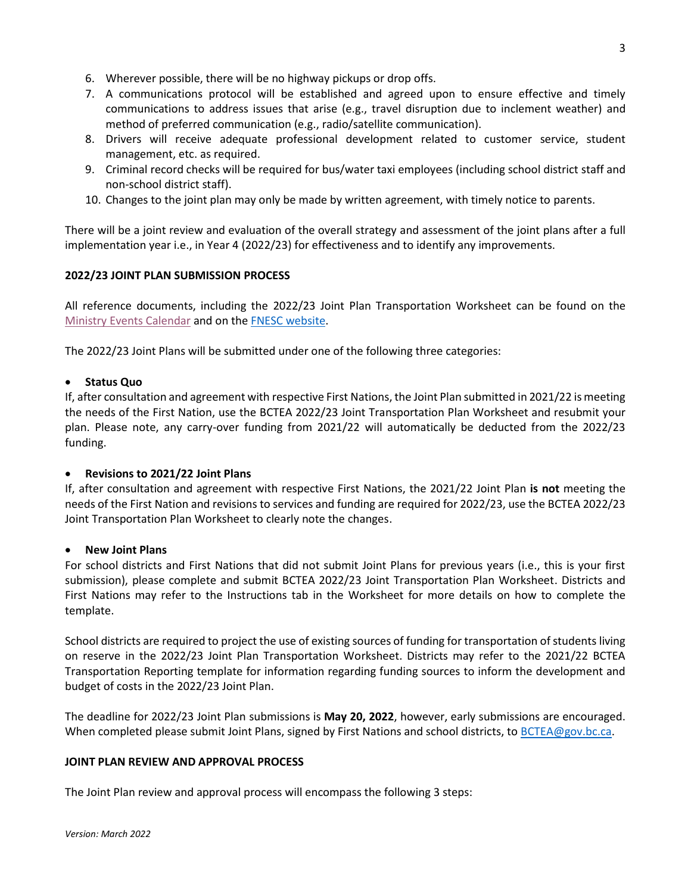- 6. Wherever possible, there will be no highway pickups or drop offs.
- 7. A communications protocol will be established and agreed upon to ensure effective and timely communications to address issues that arise (e.g., travel disruption due to inclement weather) and method of preferred communication (e.g., radio/satellite communication).
- 8. Drivers will receive adequate professional development related to customer service, student management, etc. as required.
- 9. Criminal record checks will be required for bus/water taxi employees (including school district staff and non-school district staff).
- 10. Changes to the joint plan may only be made by written agreement, with timely notice to parents.

There will be a joint review and evaluation of the overall strategy and assessment of the joint plans after a full implementation year i.e., in Year 4 (2022/23) for effectiveness and to identify any improvements.

# **2022/23 JOINT PLAN SUBMISSION PROCESS**

All reference documents, including the 2022/23 Joint Plan Transportation Worksheet can be found on the [Ministry Events Calendar](https://events.gov.bc.ca/educ/event/bctea-joint-first-nation-transportation-plans-for-2022-23-school-year/) and on the [FNESC website.](http://www.fnesc.ca/bctea/transportation-public-schools/)

The 2022/23 Joint Plans will be submitted under one of the following three categories:

# • **Status Quo**

If, after consultation and agreement with respective First Nations, the Joint Plan submitted in 2021/22 is meeting the needs of the First Nation, use the BCTEA 2022/23 Joint Transportation Plan Worksheet and resubmit your plan. Please note, any carry-over funding from 2021/22 will automatically be deducted from the 2022/23 funding.

# • **Revisions to 2021/22 Joint Plans**

If, after consultation and agreement with respective First Nations, the 2021/22 Joint Plan **is not** meeting the needs of the First Nation and revisions to services and funding are required for 2022/23, use the BCTEA 2022/23 Joint Transportation Plan Worksheet to clearly note the changes.

# • **New Joint Plans**

For school districts and First Nations that did not submit Joint Plans for previous years (i.e., this is your first submission), please complete and submit BCTEA 2022/23 Joint Transportation Plan Worksheet. Districts and First Nations may refer to the Instructions tab in the Worksheet for more details on how to complete the template.

School districts are required to project the use of existing sources of funding for transportation of students living on reserve in the 2022/23 Joint Plan Transportation Worksheet. Districts may refer to the 2021/22 BCTEA Transportation Reporting template for information regarding funding sources to inform the development and budget of costs in the 2022/23 Joint Plan.

The deadline for 2022/23 Joint Plan submissions is **May 20, 2022**, however, early submissions are encouraged. When completed please submit Joint Plans, signed by First Nations and school districts, to [BCTEA@gov.bc.ca.](mailto:BCTEA@gov.bc.ca)

# **JOINT PLAN REVIEW AND APPROVAL PROCESS**

The Joint Plan review and approval process will encompass the following 3 steps: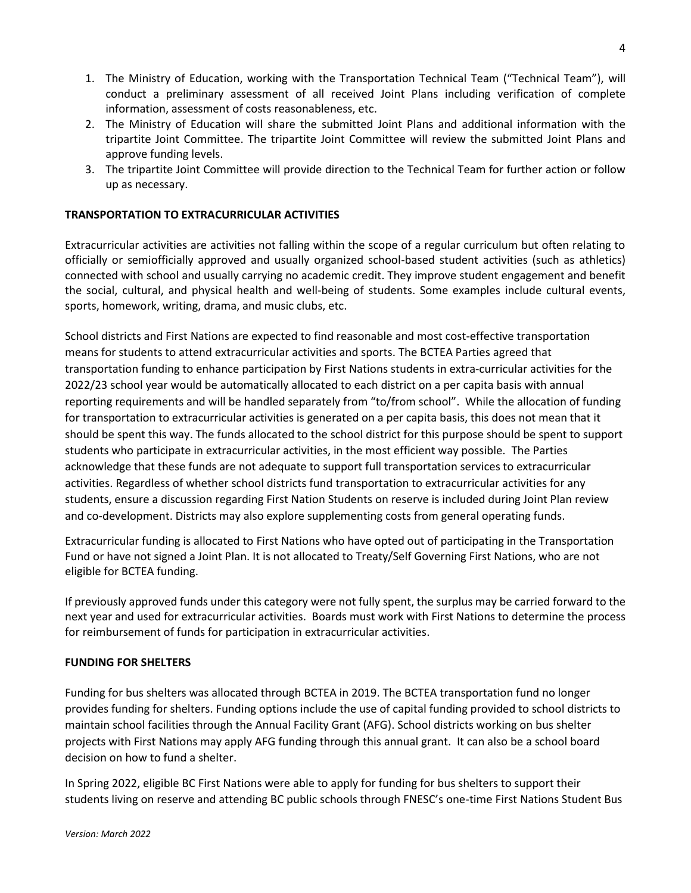- 1. The Ministry of Education, working with the Transportation Technical Team ("Technical Team"), will conduct a preliminary assessment of all received Joint Plans including verification of complete information, assessment of costs reasonableness, etc.
- 2. The Ministry of Education will share the submitted Joint Plans and additional information with the tripartite Joint Committee. The tripartite Joint Committee will review the submitted Joint Plans and approve funding levels.
- 3. The tripartite Joint Committee will provide direction to the Technical Team for further action or follow up as necessary.

# **TRANSPORTATION TO EXTRACURRICULAR ACTIVITIES**

Extracurricular activities are activities not falling within the scope of a regular curriculum but often relating to officially or semiofficially approved and usually organized school-based student activities (such as athletics) connected with school and usually carrying no academic credit. They improve student engagement and benefit the social, cultural, and physical health and well-being of students. Some examples include cultural events, sports, homework, writing, drama, and music clubs, etc.

School districts and First Nations are expected to find reasonable and most cost-effective transportation means for students to attend extracurricular activities and sports. The BCTEA Parties agreed that transportation funding to enhance participation by First Nations students in extra-curricular activities for the 2022/23 school year would be automatically allocated to each district on a per capita basis with annual reporting requirements and will be handled separately from "to/from school". While the allocation of funding for transportation to extracurricular activities is generated on a per capita basis, this does not mean that it should be spent this way. The funds allocated to the school district for this purpose should be spent to support students who participate in extracurricular activities, in the most efficient way possible. The Parties acknowledge that these funds are not adequate to support full transportation services to extracurricular activities. Regardless of whether school districts fund transportation to extracurricular activities for any students, ensure a discussion regarding First Nation Students on reserve is included during Joint Plan review and co-development. Districts may also explore supplementing costs from general operating funds.

Extracurricular funding is allocated to First Nations who have opted out of participating in the Transportation Fund or have not signed a Joint Plan. It is not allocated to Treaty/Self Governing First Nations, who are not eligible for BCTEA funding.

If previously approved funds under this category were not fully spent, the surplus may be carried forward to the next year and used for extracurricular activities. Boards must work with First Nations to determine the process for reimbursement of funds for participation in extracurricular activities.

# **FUNDING FOR SHELTERS**

Funding for bus shelters was allocated through BCTEA in 2019. The BCTEA transportation fund no longer provides funding for shelters. Funding options include the use of capital funding provided to school districts to maintain school facilities through the Annual Facility Grant (AFG). School districts working on bus shelter projects with First Nations may apply AFG funding through this annual grant. It can also be a school board decision on how to fund a shelter.

In Spring 2022, eligible BC First Nations were able to apply for funding for bus shelters to support their students living on reserve and attending BC public schools through FNESC's one-time First Nations Student Bus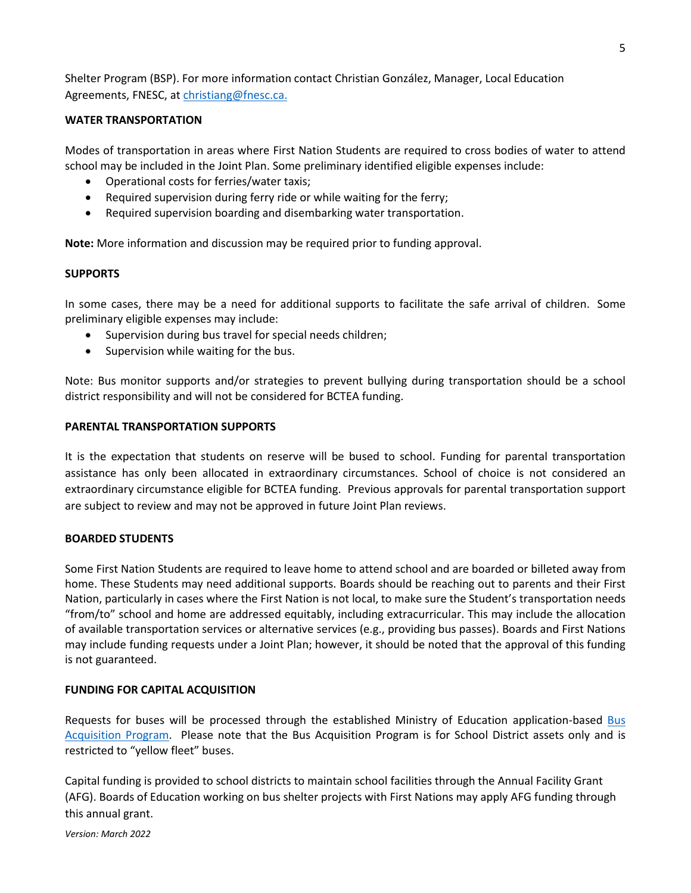Shelter Program (BSP). For more information contact Christian González, Manager, Local Education Agreements, FNESC, at [christiang@fnesc.ca.](mailto:christiang@fnesc.ca)

# **WATER TRANSPORTATION**

Modes of transportation in areas where First Nation Students are required to cross bodies of water to attend school may be included in the Joint Plan. Some preliminary identified eligible expenses include:

- Operational costs for ferries/water taxis;
- Required supervision during ferry ride or while waiting for the ferry;
- Required supervision boarding and disembarking water transportation.

**Note:** More information and discussion may be required prior to funding approval.

#### **SUPPORTS**

In some cases, there may be a need for additional supports to facilitate the safe arrival of children. Some preliminary eligible expenses may include:

- Supervision during bus travel for special needs children;
- Supervision while waiting for the bus.

Note: Bus monitor supports and/or strategies to prevent bullying during transportation should be a school district responsibility and will not be considered for BCTEA funding.

#### **PARENTAL TRANSPORTATION SUPPORTS**

It is the expectation that students on reserve will be bused to school. Funding for parental transportation assistance has only been allocated in extraordinary circumstances. School of choice is not considered an extraordinary circumstance eligible for BCTEA funding. Previous approvals for parental transportation support are subject to review and may not be approved in future Joint Plan reviews.

#### **BOARDED STUDENTS**

Some First Nation Students are required to leave home to attend school and are boarded or billeted away from home. These Students may need additional supports. Boards should be reaching out to parents and their First Nation, particularly in cases where the First Nation is not local, to make sure the Student's transportation needs "from/to" school and home are addressed equitably, including extracurricular. This may include the allocation of available transportation services or alternative services (e.g., providing bus passes). Boards and First Nations may include funding requests under a Joint Plan; however, it should be noted that the approval of this funding is not guaranteed.

#### **FUNDING FOR CAPITAL ACQUISITION**

Requests for buses will be processed through the established Ministry of Education application-based [Bus](https://www2.gov.bc.ca/gov/content/education-training/k-12/administration/capital/programs)  [Acquisition Program.](https://www2.gov.bc.ca/gov/content/education-training/k-12/administration/capital/programs) Please note that the Bus Acquisition Program is for School District assets only and is restricted to "yellow fleet" buses.

Capital funding is provided to school districts to maintain school facilities through the Annual Facility Grant (AFG). Boards of Education working on bus shelter projects with First Nations may apply AFG funding through this annual grant.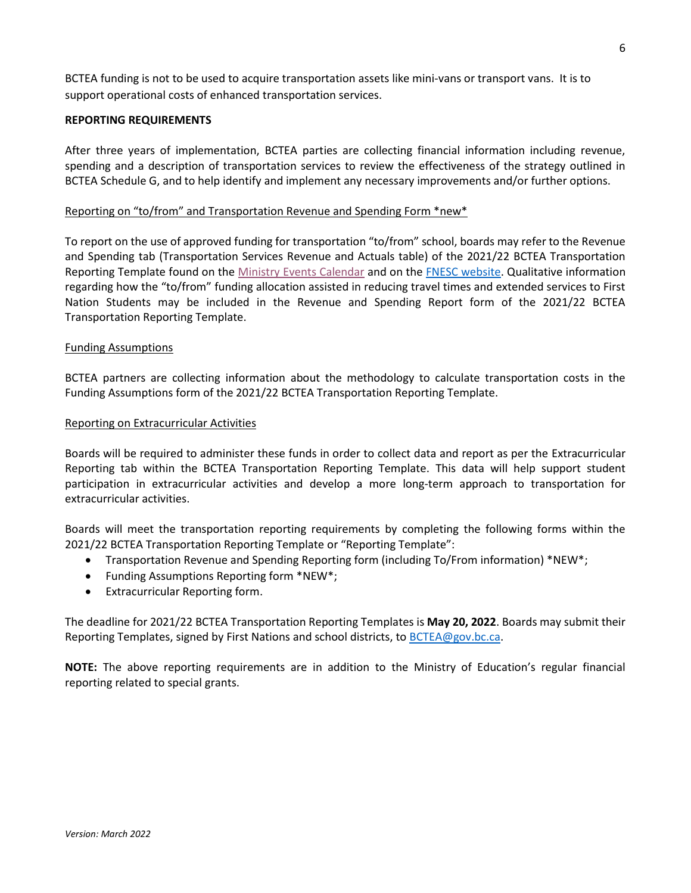BCTEA funding is not to be used to acquire transportation assets like mini-vans or transport vans. It is to support operational costs of enhanced transportation services.

### **REPORTING REQUIREMENTS**

After three years of implementation, BCTEA parties are collecting financial information including revenue, spending and a description of transportation services to review the effectiveness of the strategy outlined in BCTEA Schedule G, and to help identify and implement any necessary improvements and/or further options.

#### Reporting on "to/from" and Transportation Revenue and Spending Form \*new\*

To report on the use of approved funding for transportation "to/from" school, boards may refer to the Revenue and Spending tab (Transportation Services Revenue and Actuals table) of the 2021/22 BCTEA Transportation Reporting Template found on the [Ministry Events Calendar](https://events.gov.bc.ca/educ/event/bctea-joint-first-nations-transportation-report-2021-22-school-year/) and on the [FNESC website.](http://www.fnesc.ca/bctea/transportation-public-schools/) Qualitative information regarding how the "to/from" funding allocation assisted in reducing travel times and extended services to First Nation Students may be included in the Revenue and Spending Report form of the 2021/22 BCTEA Transportation Reporting Template.

#### Funding Assumptions

BCTEA partners are collecting information about the methodology to calculate transportation costs in the Funding Assumptions form of the 2021/22 BCTEA Transportation Reporting Template.

#### Reporting on Extracurricular Activities

Boards will be required to administer these funds in order to collect data and report as per the Extracurricular Reporting tab within the BCTEA Transportation Reporting Template. This data will help support student participation in extracurricular activities and develop a more long-term approach to transportation for extracurricular activities.

Boards will meet the transportation reporting requirements by completing the following forms within the 2021/22 BCTEA Transportation Reporting Template or "Reporting Template":

- Transportation Revenue and Spending Reporting form (including To/From information) \*NEW\*;
- Funding Assumptions Reporting form \*NEW\*;
- Extracurricular Reporting form.

The deadline for 2021/22 BCTEA Transportation Reporting Templates is **May 20, 2022**. Boards may submit their Reporting Templates, signed by First Nations and school districts, t[o BCTEA@gov.bc.ca.](mailto:BCTEA@gov.bc.ca)

**NOTE:** The above reporting requirements are in addition to the Ministry of Education's regular financial reporting related to special grants.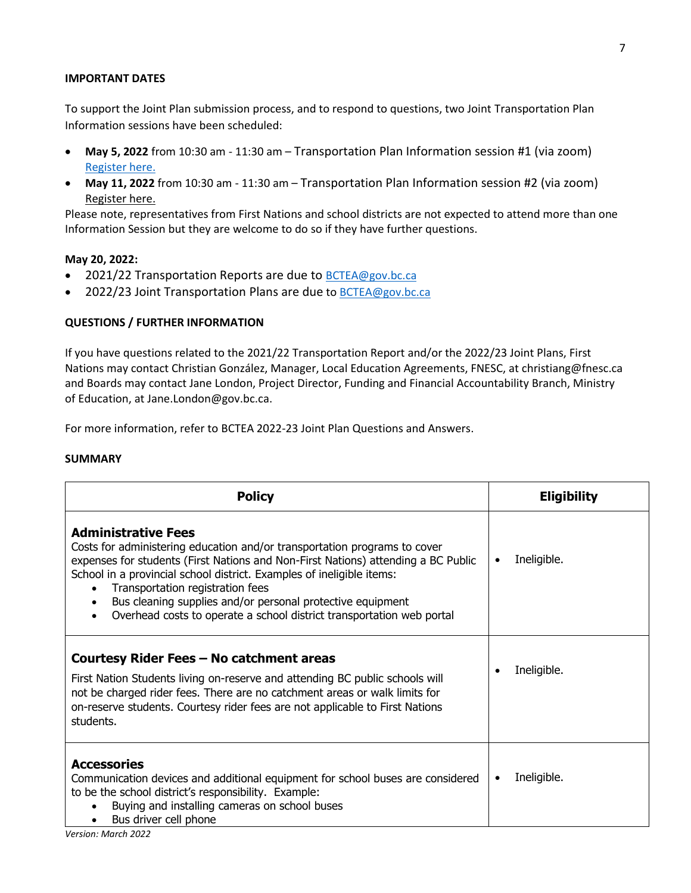#### **IMPORTANT DATES**

To support the Joint Plan submission process, and to respond to questions, two Joint Transportation Plan Information sessions have been scheduled:

- **May 5, 2022** from 10:30 am 11:30 am Transportation Plan Information session #1 (via zoom) [Register here.](https://ca01web.zoom.us/meeting/register/u5ErcumhpjojHNF1lRochB5hbbm9-ZPNxJKC)
- **May 11, 2022** from 10:30 am 11:30 am Transportation Plan Information session #2 (via zoom) [Register here.](https://ca01web.zoom.us/meeting/register/u5Aoce6prDwsH9PdnC8HSQH1Y7HA-qVfDmRo)

Please note, representatives from First Nations and school districts are not expected to attend more than one Information Session but they are welcome to do so if they have further questions.

# **May 20, 2022:**

- 2021/22 Transportation Reports are due to  $BCTEAGQgov,bc.ca$
- 2022/23 Joint Transportation Plans are due to **BCTEA@gov.bc.ca**

# **QUESTIONS / FURTHER INFORMATION**

If you have questions related to the 2021/22 Transportation Report and/or the 2022/23 Joint Plans, First Nations may contact Christian González, Manager, Local Education Agreements, FNESC, at christiang@fnesc.ca and Boards may contact Jane London, Project Director, Funding and Financial Accountability Branch, Ministry of Education, at Jane.London@gov.bc.ca.

For more information, refer to BCTEA 2022-23 Joint Plan Questions and Answers.

#### **SUMMARY**

| <b>Policy</b>                                                                                                                                                                                                                                                                                                                                                                                                                                    | <b>Eligibility</b>       |
|--------------------------------------------------------------------------------------------------------------------------------------------------------------------------------------------------------------------------------------------------------------------------------------------------------------------------------------------------------------------------------------------------------------------------------------------------|--------------------------|
| <b>Administrative Fees</b><br>Costs for administering education and/or transportation programs to cover<br>expenses for students (First Nations and Non-First Nations) attending a BC Public<br>School in a provincial school district. Examples of ineligible items:<br>Transportation registration fees<br>Bus cleaning supplies and/or personal protective equipment<br>Overhead costs to operate a school district transportation web portal | Ineligible.<br>$\bullet$ |
| Courtesy Rider Fees - No catchment areas<br>First Nation Students living on-reserve and attending BC public schools will<br>not be charged rider fees. There are no catchment areas or walk limits for<br>on-reserve students. Courtesy rider fees are not applicable to First Nations<br>students.                                                                                                                                              | Ineligible.<br>$\bullet$ |
| <b>Accessories</b><br>Communication devices and additional equipment for school buses are considered<br>to be the school district's responsibility. Example:<br>Buying and installing cameras on school buses<br>Bus driver cell phone                                                                                                                                                                                                           | Ineligible.<br>$\bullet$ |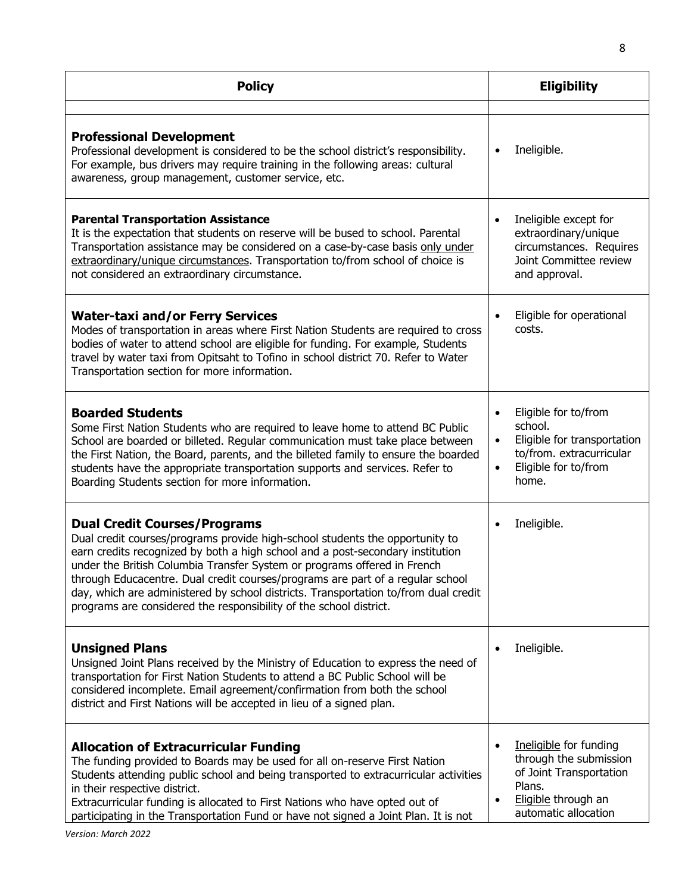| <b>Policy</b>                                                                                                                                                                                                                                                                                                                                                                                                                                                                                                                    | <b>Eligibility</b>                                                                                                                                    |  |
|----------------------------------------------------------------------------------------------------------------------------------------------------------------------------------------------------------------------------------------------------------------------------------------------------------------------------------------------------------------------------------------------------------------------------------------------------------------------------------------------------------------------------------|-------------------------------------------------------------------------------------------------------------------------------------------------------|--|
| <b>Professional Development</b><br>Professional development is considered to be the school district's responsibility.<br>For example, bus drivers may require training in the following areas: cultural<br>awareness, group management, customer service, etc.                                                                                                                                                                                                                                                                   | Ineligible.<br>٠                                                                                                                                      |  |
| <b>Parental Transportation Assistance</b><br>It is the expectation that students on reserve will be bused to school. Parental<br>Transportation assistance may be considered on a case-by-case basis only under<br>extraordinary/unique circumstances. Transportation to/from school of choice is<br>not considered an extraordinary circumstance.                                                                                                                                                                               | Ineligible except for<br>$\bullet$<br>extraordinary/unique<br>circumstances. Requires<br>Joint Committee review<br>and approval.                      |  |
| <b>Water-taxi and/or Ferry Services</b><br>Modes of transportation in areas where First Nation Students are required to cross<br>bodies of water to attend school are eligible for funding. For example, Students<br>travel by water taxi from Opitsaht to Tofino in school district 70. Refer to Water<br>Transportation section for more information.                                                                                                                                                                          | Eligible for operational<br>costs.                                                                                                                    |  |
| <b>Boarded Students</b><br>Some First Nation Students who are required to leave home to attend BC Public<br>School are boarded or billeted. Regular communication must take place between<br>the First Nation, the Board, parents, and the billeted family to ensure the boarded<br>students have the appropriate transportation supports and services. Refer to<br>Boarding Students section for more information.                                                                                                              | Eligible for to/from<br>school.<br>Eligible for transportation<br>$\bullet$<br>to/from. extracurricular<br>Eligible for to/from<br>$\bullet$<br>home. |  |
| <b>Dual Credit Courses/Programs</b><br>Dual credit courses/programs provide high-school students the opportunity to<br>earn credits recognized by both a high school and a post-secondary institution<br>under the British Columbia Transfer System or programs offered in French<br>through Educacentre. Dual credit courses/programs are part of a regular school<br>day, which are administered by school districts. Transportation to/from dual credit<br>programs are considered the responsibility of the school district. | Ineligible.                                                                                                                                           |  |
| <b>Unsigned Plans</b><br>Unsigned Joint Plans received by the Ministry of Education to express the need of<br>transportation for First Nation Students to attend a BC Public School will be<br>considered incomplete. Email agreement/confirmation from both the school<br>district and First Nations will be accepted in lieu of a signed plan.                                                                                                                                                                                 | Ineligible.                                                                                                                                           |  |
| <b>Allocation of Extracurricular Funding</b><br>The funding provided to Boards may be used for all on-reserve First Nation<br>Students attending public school and being transported to extracurricular activities<br>in their respective district.<br>Extracurricular funding is allocated to First Nations who have opted out of<br>participating in the Transportation Fund or have not signed a Joint Plan. It is not                                                                                                        | Ineligible for funding<br>through the submission<br>of Joint Transportation<br>Plans.<br>Eligible through an<br>$\bullet$<br>automatic allocation     |  |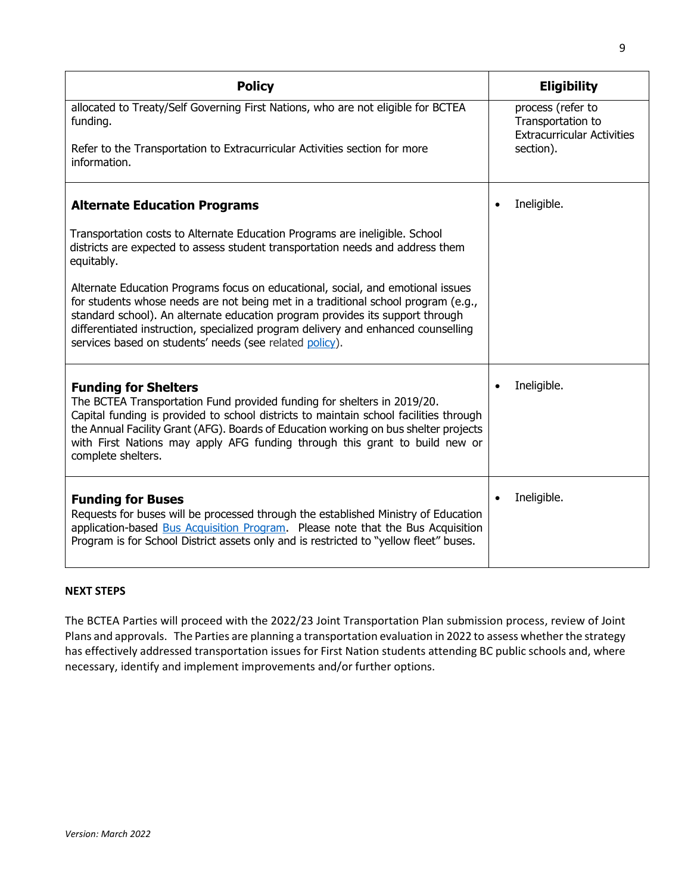| <b>Policy</b>                                                                                                                                                                                                                                                                                                                                                                                         |           | <b>Eligibility</b>                                                          |
|-------------------------------------------------------------------------------------------------------------------------------------------------------------------------------------------------------------------------------------------------------------------------------------------------------------------------------------------------------------------------------------------------------|-----------|-----------------------------------------------------------------------------|
| allocated to Treaty/Self Governing First Nations, who are not eligible for BCTEA<br>funding.                                                                                                                                                                                                                                                                                                          |           | process (refer to<br>Transportation to<br><b>Extracurricular Activities</b> |
| Refer to the Transportation to Extracurricular Activities section for more<br>information.                                                                                                                                                                                                                                                                                                            |           | section).                                                                   |
| <b>Alternate Education Programs</b>                                                                                                                                                                                                                                                                                                                                                                   |           | Ineligible.                                                                 |
| Transportation costs to Alternate Education Programs are ineligible. School<br>districts are expected to assess student transportation needs and address them<br>equitably.                                                                                                                                                                                                                           |           |                                                                             |
| Alternate Education Programs focus on educational, social, and emotional issues<br>for students whose needs are not being met in a traditional school program (e.g.,<br>standard school). An alternate education program provides its support through<br>differentiated instruction, specialized program delivery and enhanced counselling<br>services based on students' needs (see related policy). |           |                                                                             |
| <b>Funding for Shelters</b><br>The BCTEA Transportation Fund provided funding for shelters in 2019/20.<br>Capital funding is provided to school districts to maintain school facilities through<br>the Annual Facility Grant (AFG). Boards of Education working on bus shelter projects<br>with First Nations may apply AFG funding through this grant to build new or<br>complete shelters.          |           | Ineligible.                                                                 |
| <b>Funding for Buses</b><br>Requests for buses will be processed through the established Ministry of Education<br>application-based Bus Acquisition Program. Please note that the Bus Acquisition<br>Program is for School District assets only and is restricted to "yellow fleet" buses.                                                                                                            | $\bullet$ | Ineligible.                                                                 |

# **NEXT STEPS**

The BCTEA Parties will proceed with the 2022/23 Joint Transportation Plan submission process, review of Joint Plans and approvals. The Parties are planning a transportation evaluation in 2022 to assess whether the strategy has effectively addressed transportation issues for First Nation students attending BC public schools and, where necessary, identify and implement improvements and/or further options.